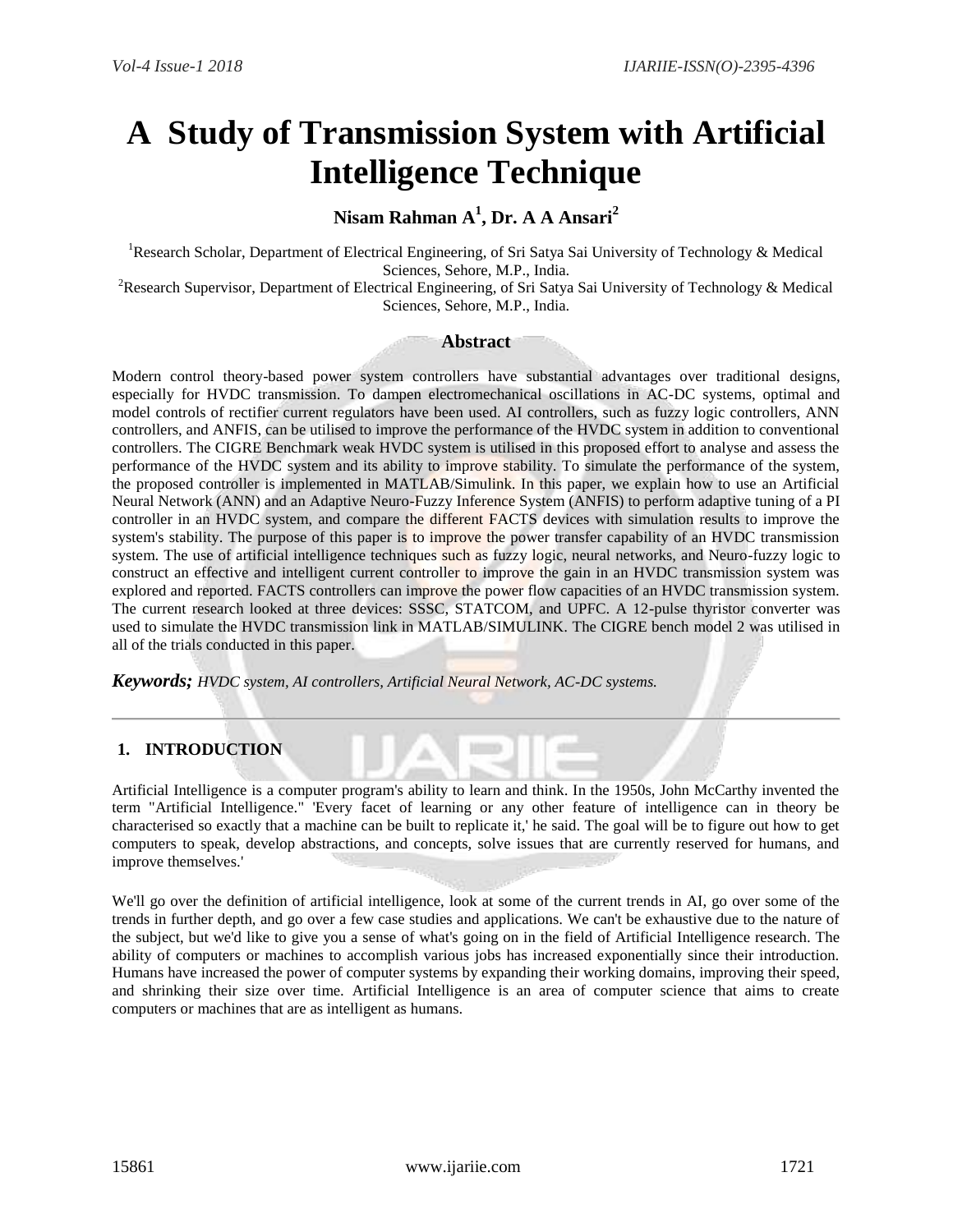# **A Study of Transmission System with Artificial Intelligence Technique**

## **Nisam Rahman A<sup>1</sup> , Dr. A A Ansari<sup>2</sup>**

<sup>1</sup>Research Scholar, Department of Electrical Engineering, of Sri Satya Sai University of Technology & Medical Sciences, Sehore, M.P., India.

<sup>2</sup>Research Supervisor, Department of Electrical Engineering, of Sri Satya Sai University of Technology & Medical Sciences, Sehore, M.P., India.

## **Abstract**

Modern control theory-based power system controllers have substantial advantages over traditional designs, especially for HVDC transmission. To dampen electromechanical oscillations in AC-DC systems, optimal and model controls of rectifier current regulators have been used. AI controllers, such as fuzzy logic controllers, ANN controllers, and ANFIS, can be utilised to improve the performance of the HVDC system in addition to conventional controllers. The CIGRE Benchmark weak HVDC system is utilised in this proposed effort to analyse and assess the performance of the HVDC system and its ability to improve stability. To simulate the performance of the system, the proposed controller is implemented in MATLAB/Simulink. In this paper, we explain how to use an Artificial Neural Network (ANN) and an Adaptive Neuro-Fuzzy Inference System (ANFIS) to perform adaptive tuning of a PI controller in an HVDC system, and compare the different FACTS devices with simulation results to improve the system's stability. The purpose of this paper is to improve the power transfer capability of an HVDC transmission system. The use of artificial intelligence techniques such as fuzzy logic, neural networks, and Neuro-fuzzy logic to construct an effective and intelligent current controller to improve the gain in an HVDC transmission system was explored and reported. FACTS controllers can improve the power flow capacities of an HVDC transmission system. The current research looked at three devices: SSSC, STATCOM, and UPFC. A 12-pulse thyristor converter was used to simulate the HVDC transmission link in MATLAB/SIMULINK. The CIGRE bench model 2 was utilised in all of the trials conducted in this paper.

*Keywords; HVDC system, AI controllers, Artificial Neural Network, AC-DC systems.*

## **1. INTRODUCTION**

Artificial Intelligence is a computer program's ability to learn and think. In the 1950s, John McCarthy invented the term "Artificial Intelligence." 'Every facet of learning or any other feature of intelligence can in theory be characterised so exactly that a machine can be built to replicate it,' he said. The goal will be to figure out how to get computers to speak, develop abstractions, and concepts, solve issues that are currently reserved for humans, and improve themselves.'

We'll go over the definition of artificial intelligence, look at some of the current trends in AI, go over some of the trends in further depth, and go over a few case studies and applications. We can't be exhaustive due to the nature of the subject, but we'd like to give you a sense of what's going on in the field of Artificial Intelligence research. The ability of computers or machines to accomplish various jobs has increased exponentially since their introduction. Humans have increased the power of computer systems by expanding their working domains, improving their speed, and shrinking their size over time. Artificial Intelligence is an area of computer science that aims to create computers or machines that are as intelligent as humans.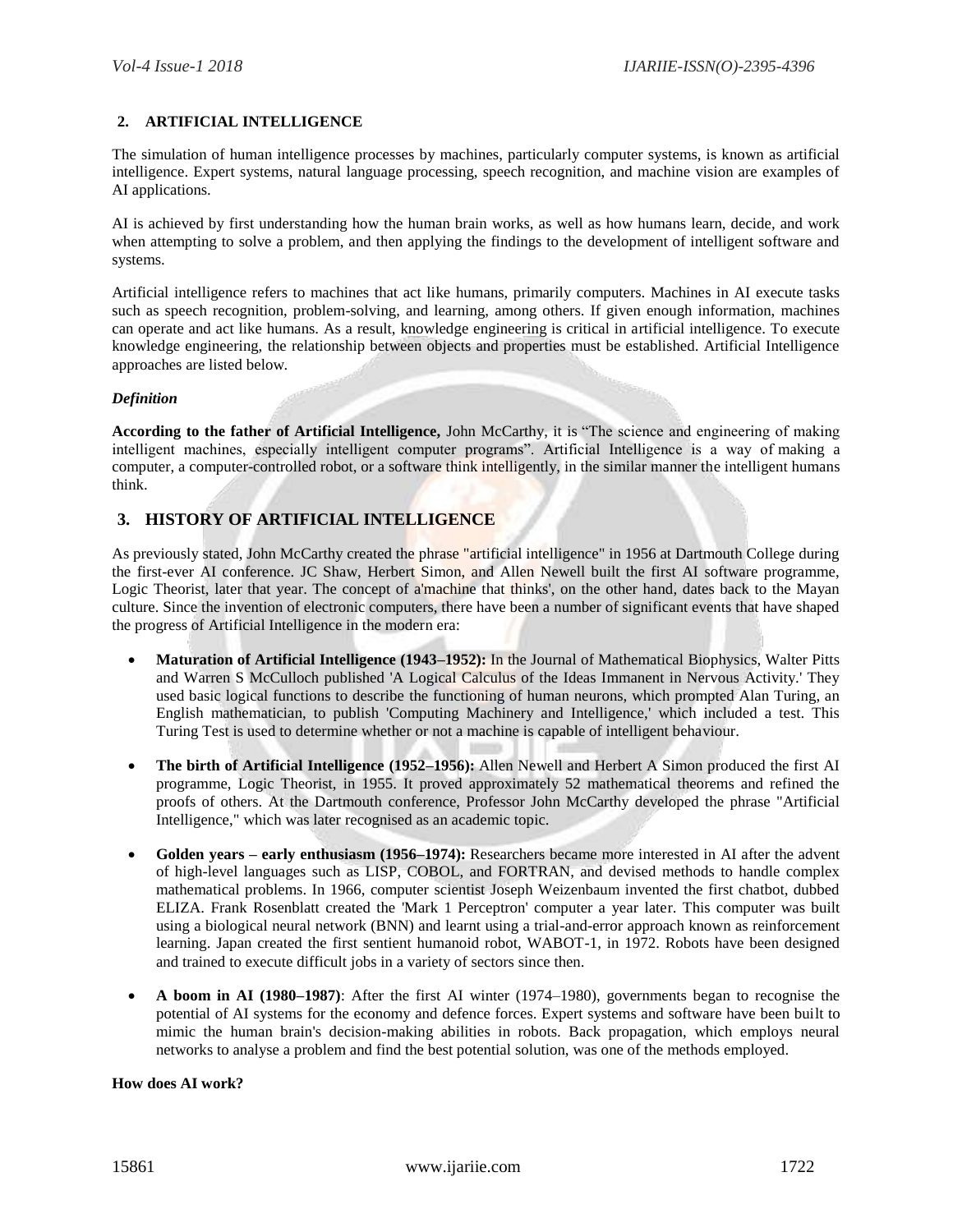## **2. ARTIFICIAL INTELLIGENCE**

The simulation of human intelligence processes by machines, particularly computer systems, is known as artificial intelligence. Expert systems, natural language processing, speech recognition, and machine vision are examples of AI applications.

AI is achieved by first understanding how the human brain works, as well as how humans learn, decide, and work when attempting to solve a problem, and then applying the findings to the development of intelligent software and systems.

Artificial intelligence refers to machines that act like humans, primarily computers. Machines in AI execute tasks such as speech recognition, problem-solving, and learning, among others. If given enough information, machines can operate and act like humans. As a result, knowledge engineering is critical in artificial intelligence. To execute knowledge engineering, the relationship between objects and properties must be established. Artificial Intelligence approaches are listed below.

## *Definition*

**According to the father of Artificial Intelligence,** John McCarthy, it is "The science and engineering of making intelligent machines, especially intelligent computer programs". Artificial Intelligence is a way of making a computer, a computer-controlled robot, or a software think intelligently, in the similar manner the intelligent humans think.

## **3. HISTORY OF ARTIFICIAL INTELLIGENCE**

As previously stated, John McCarthy created the phrase "artificial intelligence" in 1956 at Dartmouth College during the first-ever AI conference. JC Shaw, Herbert Simon, and Allen Newell built the first AI software programme, Logic Theorist, later that year. The concept of a'machine that thinks', on the other hand, dates back to the Mayan culture. Since the invention of electronic computers, there have been a number of significant events that have shaped the progress of Artificial Intelligence in the modern era:

- **Maturation of Artificial Intelligence (1943–1952):** In the Journal of Mathematical Biophysics, Walter Pitts and Warren S McCulloch published 'A Logical Calculus of the Ideas Immanent in Nervous Activity.' They used basic logical functions to describe the functioning of human neurons, which prompted Alan Turing, an English mathematician, to publish 'Computing Machinery and Intelligence,' which included a test. This Turing Test is used to determine whether or not a machine is capable of intelligent behaviour.
- **The birth of Artificial Intelligence (1952–1956):** Allen Newell and Herbert A Simon produced the first AI programme, Logic Theorist, in 1955. It proved approximately 52 mathematical theorems and refined the proofs of others. At the Dartmouth conference, Professor John McCarthy developed the phrase "Artificial Intelligence," which was later recognised as an academic topic.
- **Golden years – early enthusiasm (1956–1974):** Researchers became more interested in AI after the advent of high-level languages such as LISP, COBOL, and FORTRAN, and devised methods to handle complex mathematical problems. In 1966, computer scientist Joseph Weizenbaum invented the first chatbot, dubbed ELIZA. Frank Rosenblatt created the 'Mark 1 Perceptron' computer a year later. This computer was built using a biological neural network (BNN) and learnt using a trial-and-error approach known as reinforcement learning. Japan created the first sentient humanoid robot, WABOT-1, in 1972. Robots have been designed and trained to execute difficult jobs in a variety of sectors since then.
- **A boom in AI (1980–1987)**: After the first AI winter (1974–1980), governments began to recognise the potential of AI systems for the economy and defence forces. Expert systems and software have been built to mimic the human brain's decision-making abilities in robots. Back propagation, which employs neural networks to analyse a problem and find the best potential solution, was one of the methods employed.

## **How does AI work?**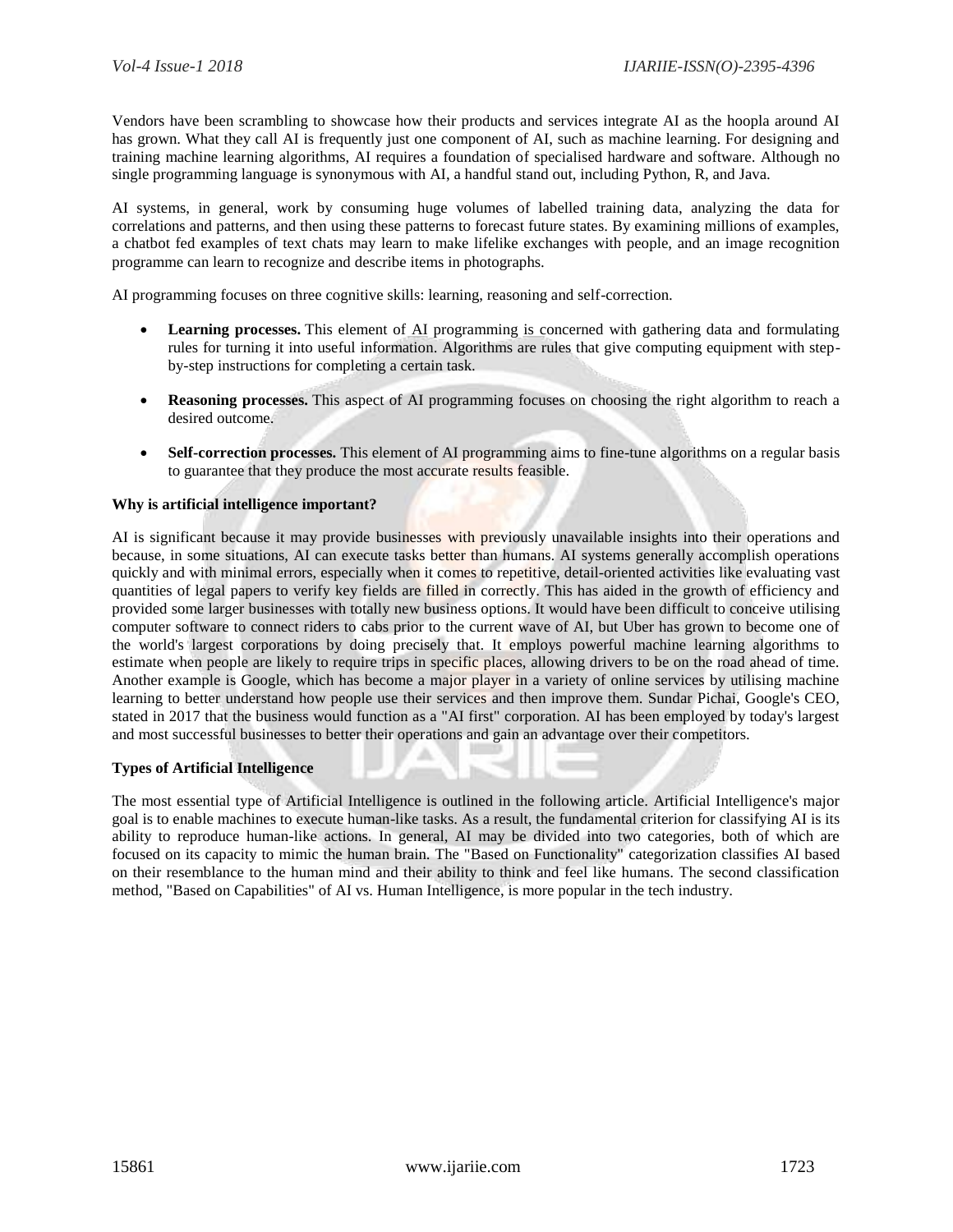Vendors have been scrambling to showcase how their products and services integrate AI as the hoopla around AI has grown. What they call AI is frequently just one component of AI, such as machine learning. For designing and training machine learning algorithms, AI requires a foundation of specialised hardware and software. Although no single programming language is synonymous with AI, a handful stand out, including Python, R, and Java.

AI systems, in general, work by consuming huge volumes of labelled training data, analyzing the data for correlations and patterns, and then using these patterns to forecast future states. By examining millions of examples, a chatbot fed examples of text chats may learn to make lifelike exchanges with people, and an image recognition programme can learn to recognize and describe items in photographs.

AI programming focuses on three cognitive skills: learning, reasoning and self-correction.

- **Learning processes.** This element of AI programming is concerned with gathering data and formulating rules for turning it into useful information. Algorithms are rules that give computing equipment with stepby-step instructions for completing a certain task.
- **Reasoning processes.** This aspect of AI programming focuses on choosing the right algorithm to reach a desired outcome.
- **Self-correction processes.** This element of AI programming aims to fine-tune algorithms on a regular basis to guarantee that they produce the most accurate results feasible.

## **Why is artificial intelligence important?**

AI is significant because it may provide businesses with previously unavailable insights into their operations and because, in some situations, AI can execute tasks better than humans. AI systems generally accomplish operations quickly and with minimal errors, especially when it comes to repetitive, detail-oriented activities like evaluating vast quantities of legal papers to verify key fields are filled in correctly. This has aided in the growth of efficiency and provided some larger businesses with totally new business options. It would have been difficult to conceive utilising computer software to connect riders to cabs prior to the current wave of AI, but Uber has grown to become one of the world's largest corporations by doing precisely that. It employs powerful machine learning algorithms to estimate when people are likely to require trips in specific places, allowing drivers to be on the road ahead of time. Another example is Google, which has become a major player in a variety of online services by utilising machine learning to better understand how people use their services and then improve them. Sundar Pichai, Google's CEO, stated in 2017 that the business would function as a "AI first" corporation. AI has been employed by today's largest and most successful businesses to better their operations and gain an advantage over their competitors.

## **Types of Artificial Intelligence**

The most essential type of Artificial Intelligence is outlined in the following article. Artificial Intelligence's major goal is to enable machines to execute human-like tasks. As a result, the fundamental criterion for classifying AI is its ability to reproduce human-like actions. In general, AI may be divided into two categories, both of which are focused on its capacity to mimic the human brain. The "Based on Functionality" categorization classifies AI based on their resemblance to the human mind and their ability to think and feel like humans. The second classification method, "Based on Capabilities" of AI vs. Human Intelligence, is more popular in the tech industry.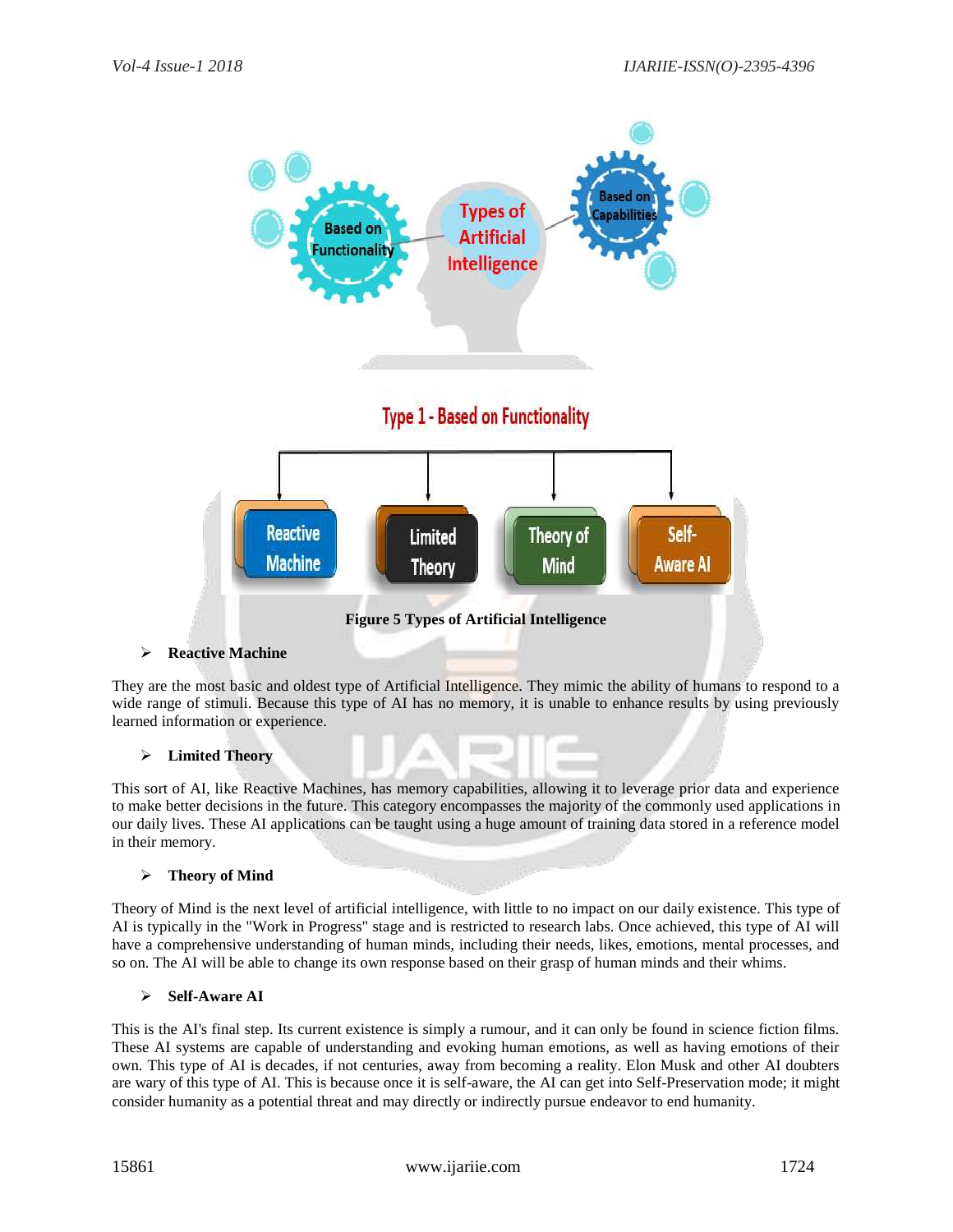

They are the most basic and oldest type of Artificial Intelligence. They mimic the ability of humans to respond to a wide range of stimuli. Because this type of AI has no memory, it is unable to enhance results by using previously learned information or experience.

## **Limited Theory**

This sort of AI, like Reactive Machines, has memory capabilities, allowing it to leverage prior data and experience to make better decisions in the future. This category encompasses the majority of the commonly used applications in our daily lives. These AI applications can be taught using a huge amount of training data stored in a reference model in their memory.

## **Theory of Mind**

Theory of Mind is the next level of artificial intelligence, with little to no impact on our daily existence. This type of AI is typically in the "Work in Progress" stage and is restricted to research labs. Once achieved, this type of AI will have a comprehensive understanding of human minds, including their needs, likes, emotions, mental processes, and so on. The AI will be able to change its own response based on their grasp of human minds and their whims.

## **Self-Aware AI**

This is the AI's final step. Its current existence is simply a rumour, and it can only be found in science fiction films. These AI systems are capable of understanding and evoking human emotions, as well as having emotions of their own. This type of AI is decades, if not centuries, away from becoming a reality. Elon Musk and other AI doubters are wary of this type of AI. This is because once it is self-aware, the AI can get into Self-Preservation mode; it might consider humanity as a potential threat and may directly or indirectly pursue endeavor to end humanity.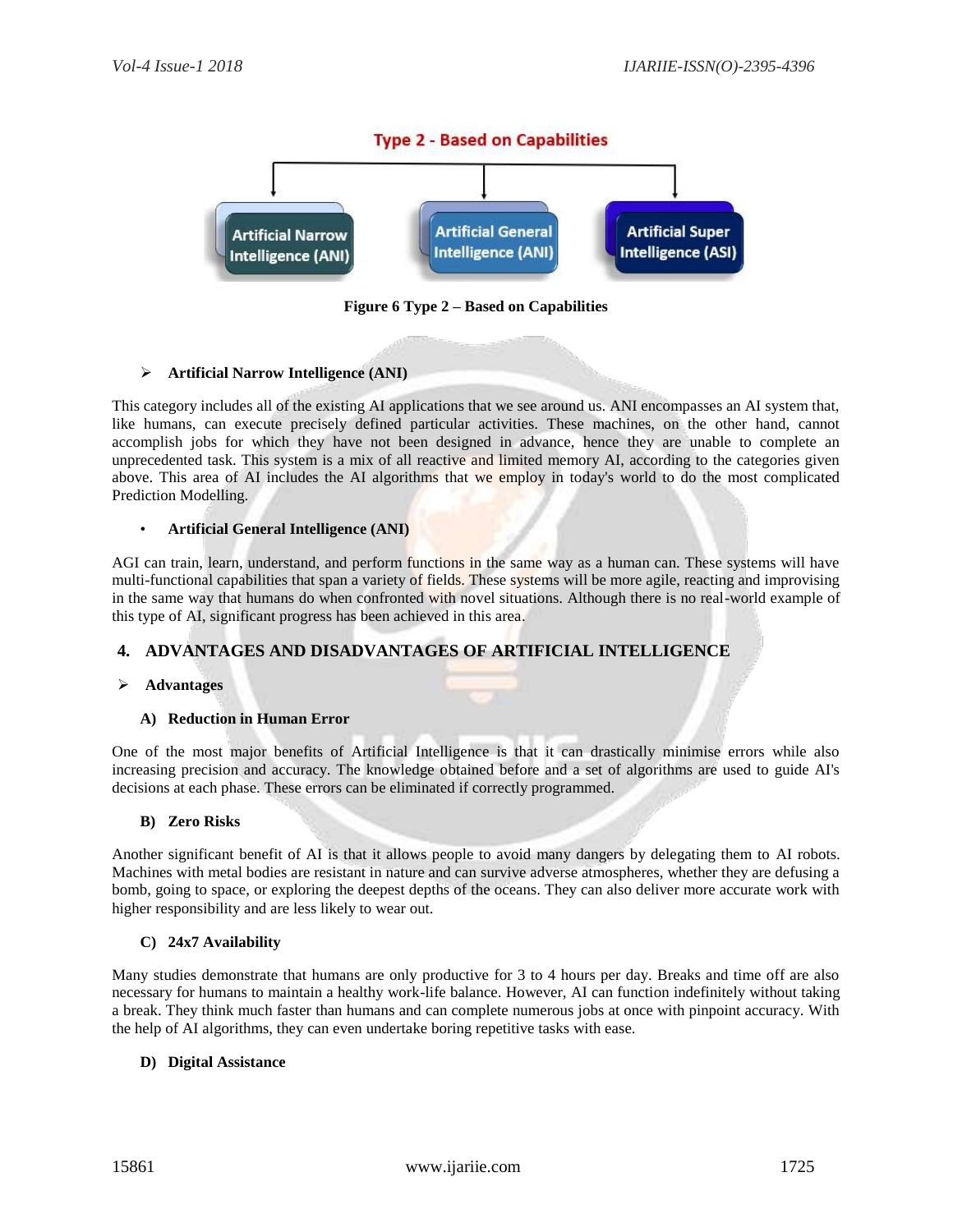

**Figure 6 Type 2 – Based on Capabilities**

## **Artificial Narrow Intelligence (ANI)**

This category includes all of the existing AI applications that we see around us. ANI encompasses an AI system that, like humans, can execute precisely defined particular activities. These machines, on the other hand, cannot accomplish jobs for which they have not been designed in advance, hence they are unable to complete an unprecedented task. This system is a mix of all reactive and limited memory AI, according to the categories given above. This area of AI includes the AI algorithms that we employ in today's world to do the most complicated Prediction Modelling.

## • **Artificial General Intelligence (ANI)**

AGI can train, learn, understand, and perform functions in the same way as a human can. These systems will have multi-functional capabilities that span a variety of fields. These systems will be more agile, reacting and improvising in the same way that humans do when confronted with novel situations. Although there is no real-world example of this type of AI, significant progress has been achieved in this area.

## **4. ADVANTAGES AND DISADVANTAGES OF ARTIFICIAL INTELLIGENCE**

## **Advantages**

## **A) Reduction in Human Error**

One of the most major benefits of Artificial Intelligence is that it can drastically minimise errors while also increasing precision and accuracy. The knowledge obtained before and a set of algorithms are used to guide AI's decisions at each phase. These errors can be eliminated if correctly programmed.

## **B) Zero Risks**

Another significant benefit of AI is that it allows people to avoid many dangers by delegating them to AI robots. Machines with metal bodies are resistant in nature and can survive adverse atmospheres, whether they are defusing a bomb, going to space, or exploring the deepest depths of the oceans. They can also deliver more accurate work with higher responsibility and are less likely to wear out.

## **C) 24x7 Availability**

Many studies demonstrate that humans are only productive for 3 to 4 hours per day. Breaks and time off are also necessary for humans to maintain a healthy work-life balance. However, AI can function indefinitely without taking a break. They think much faster than humans and can complete numerous jobs at once with pinpoint accuracy. With the help of AI algorithms, they can even undertake boring repetitive tasks with ease.

## **D) Digital Assistance**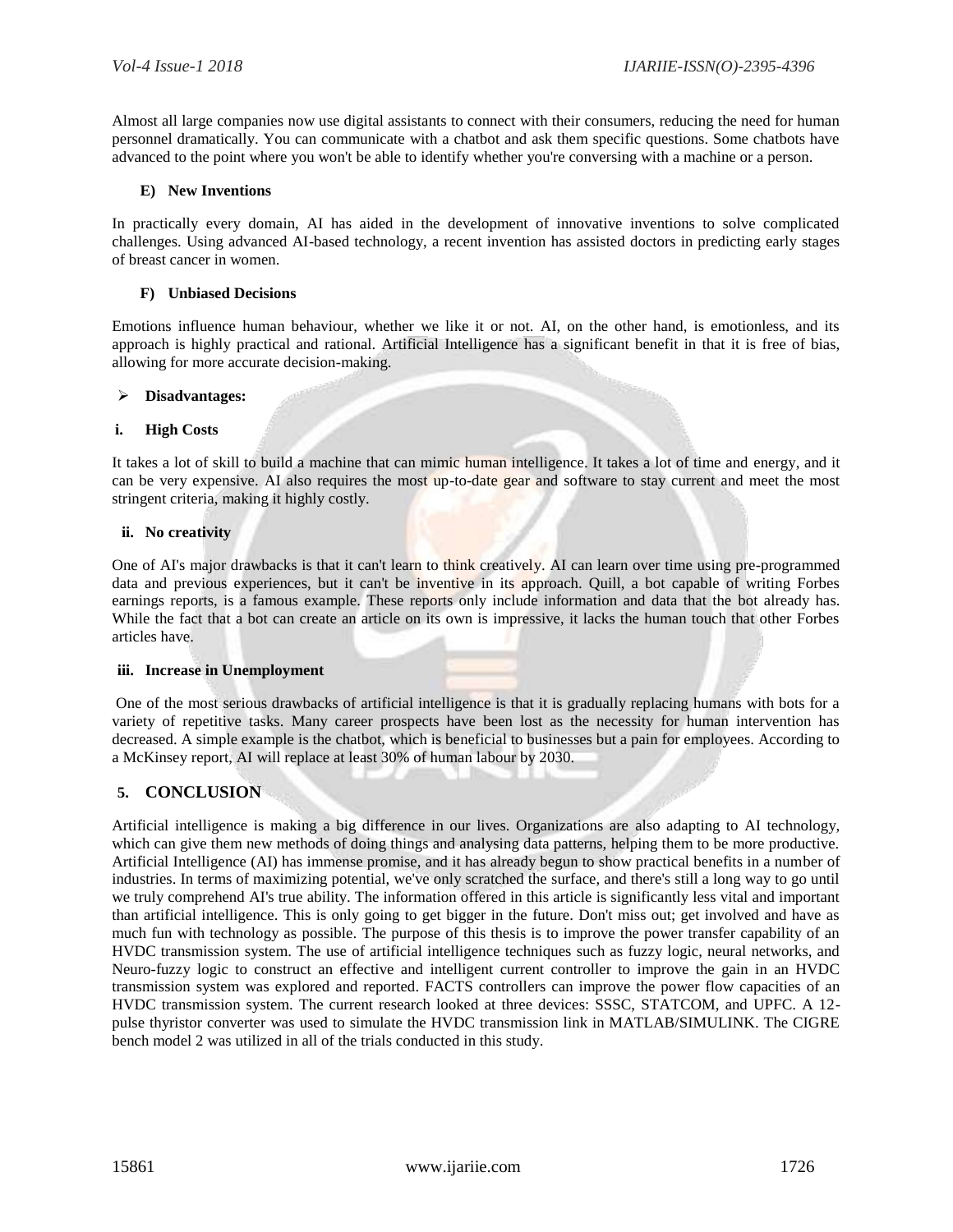Almost all large companies now use digital assistants to connect with their consumers, reducing the need for human personnel dramatically. You can communicate with a chatbot and ask them specific questions. Some chatbots have advanced to the point where you won't be able to identify whether you're conversing with a machine or a person.

#### **E) New Inventions**

In practically every domain, AI has aided in the development of innovative inventions to solve complicated challenges. Using advanced AI-based technology, a recent invention has assisted doctors in predicting early stages of breast cancer in women.

#### **F) Unbiased Decisions**

Emotions influence human behaviour, whether we like it or not. AI, on the other hand, is emotionless, and its approach is highly practical and rational. Artificial Intelligence has a significant benefit in that it is free of bias, allowing for more accurate decision-making.

#### **Disadvantages:**

#### **i. High Costs**

It takes a lot of skill to build a machine that can mimic human intelligence. It takes a lot of time and energy, and it can be very expensive. AI also requires the most up-to-date gear and software to stay current and meet the most stringent criteria, making it highly costly.

#### **ii. No creativity**

One of AI's major drawbacks is that it can't learn to think creatively. AI can learn over time using pre-programmed data and previous experiences, but it can't be inventive in its approach. Quill, a bot capable of writing Forbes earnings reports, is a famous example. These reports only include information and data that the bot already has. While the fact that a bot can create an article on its own is impressive, it lacks the human touch that other Forbes articles have.

#### **iii. Increase in Unemployment**

One of the most serious drawbacks of artificial intelligence is that it is gradually replacing humans with bots for a variety of repetitive tasks. Many career prospects have been lost as the necessity for human intervention has decreased. A simple example is the chatbot, which is beneficial to businesses but a pain for employees. According to a McKinsey report, AI will replace at least 30% of human labour by 2030.

## **5. CONCLUSION**

Artificial intelligence is making a big difference in our lives. Organizations are also adapting to AI technology, which can give them new methods of doing things and analysing data patterns, helping them to be more productive. Artificial Intelligence (AI) has immense promise, and it has already begun to show practical benefits in a number of industries. In terms of maximizing potential, we've only scratched the surface, and there's still a long way to go until we truly comprehend AI's true ability. The information offered in this article is significantly less vital and important than artificial intelligence. This is only going to get bigger in the future. Don't miss out; get involved and have as much fun with technology as possible. The purpose of this thesis is to improve the power transfer capability of an HVDC transmission system. The use of artificial intelligence techniques such as fuzzy logic, neural networks, and Neuro-fuzzy logic to construct an effective and intelligent current controller to improve the gain in an HVDC transmission system was explored and reported. FACTS controllers can improve the power flow capacities of an HVDC transmission system. The current research looked at three devices: SSSC, STATCOM, and UPFC. A 12 pulse thyristor converter was used to simulate the HVDC transmission link in MATLAB/SIMULINK. The CIGRE bench model 2 was utilized in all of the trials conducted in this study.